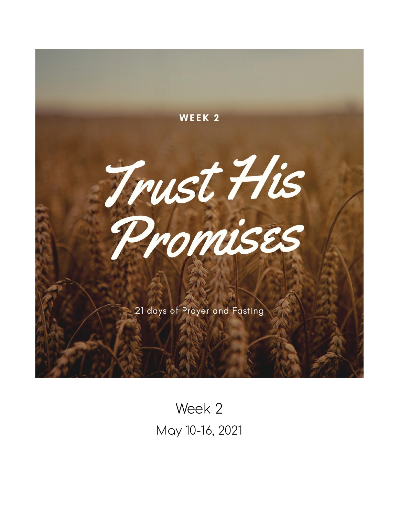

Week 2 May 10-16, 2021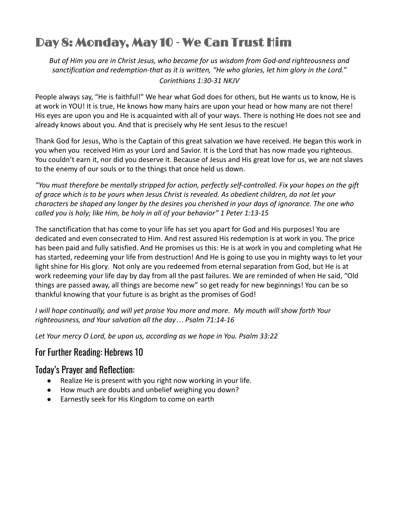# Day 8: Monday, May 10 - We Can Trust Him

*But of Him you are in Christ Jesus, who became for us wisdom from God-and righteousness and sanctification and redemption-that as it is written, "He who glories, let him glory in the Lord." Corinthians 1:30-31 NKJV*

People always say, "He is faithful!" We hear what God does for others, but He wants us to know, He is at work in YOU! It is true, He knows how many hairs are upon your head or how many are not there! His eyes are upon you and He is acquainted with all of your ways. There is nothing He does not see and already knows about you. And that is precisely why He sent Jesus to the rescue!

Thank God for Jesus, Who is the Captain of this great salvation we have received. He began this work in you when you received Him as your Lord and Savior. It is the Lord that has now made you righteous. You couldn't earn it, nor did you deserve it. Because of Jesus and His great love for us, we are not slaves to the enemy of our souls or to the things that once held us down.

*"You must therefore be mentally stripped for action, perfectly self-controlled. Fix your hopes on the gift of grace which is to be yours when Jesus Christ is revealed. As obedient children, do not let your characters be shaped any longer by the desires you cherished in your days of ignorance. The one who called you is holy; like Him, be holy in all of your behavior" 1 Peter 1:13-15*

The sanctification that has come to your life has set you apart for God and His purposes! You are dedicated and even consecrated to Him. And rest assured His redemption is at work in you. The price has been paid and fully satisfied. And He promises us this: He is at work in you and completing what He has started, redeeming your life from destruction! And He is going to use you in mighty ways to let your light shine for His glory. Not only are you redeemed from eternal separation from God, but He is at work redeeming your life day by day from all the past failures. We are reminded of when He said, "Old things are passed away, all things are become new" so get ready for new beginnings! You can be so thankful knowing that your future is as bright as the promises of God!

*I will hope continually, and will yet praise You more and more. My mouth will show forth Your righteousness, and Your salvation all the day… Psalm 71:14-16*

*Let Your mercy O Lord, be upon us, according as we hope in You. Psalm 33:22*

# For Further Reading: Hebrews 10

## Today's Prayer and Reflection:

- Realize He is present with you right now working in your life.
- How much are doubts and unbelief weighing you down?
- Earnestly seek for His Kingdom to come on earth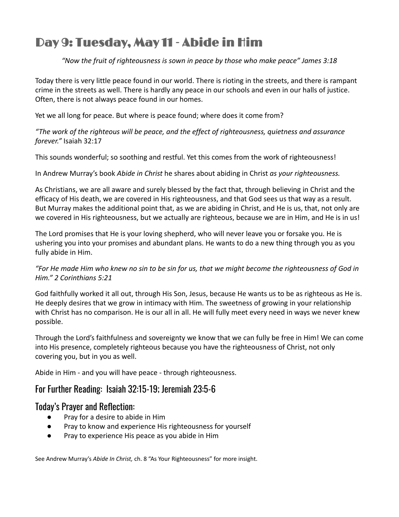# Day 9: Tuesday, May 11 - Abide in Him

### *"Now the fruit of righteousness is sown in peace by those who make peace" James 3:18*

Today there is very little peace found in our world. There is rioting in the streets, and there is rampant crime in the streets as well. There is hardly any peace in our schools and even in our halls of justice. Often, there is not always peace found in our homes.

Yet we all long for peace. But where is peace found; where does it come from?

*"The work of the righteous will be peace, and the effect of righteousness, quietness and assurance forever."* Isaiah 32:17

This sounds wonderful; so soothing and restful. Yet this comes from the work of righteousness!

In Andrew Murray's book *Abide in Christ* he shares about abiding in Christ *as your righteousness.*

As Christians, we are all aware and surely blessed by the fact that, through believing in Christ and the efficacy of His death, we are covered in His righteousness, and that God sees us that way as a result. But Murray makes the additional point that, as we are abiding in Christ, and He is us, that, not only are we covered in His righteousness, but we actually are righteous, because we are in Him, and He is in us!

The Lord promises that He is your loving shepherd, who will never leave you or forsake you. He is ushering you into your promises and abundant plans. He wants to do a new thing through you as you fully abide in Him.

*"For He made Him who knew no sin to be sin for us, that we might become the righteousness of God in Him." 2 Corinthians 5:21*

God faithfully worked it all out, through His Son, Jesus, because He wants us to be as righteous as He is. He deeply desires that we grow in intimacy with Him. The sweetness of growing in your relationship with Christ has no comparison. He is our all in all. He will fully meet every need in ways we never knew possible.

Through the Lord's faithfulness and sovereignty we know that we can fully be free in Him! We can come into His presence, completely righteous because you have the righteousness of Christ, not only covering you, but in you as well.

Abide in Him - and you will have peace - through righteousness.

## For Further Reading: Isaiah 32:15-19; Jeremiah 23:5-6

### Today's Prayer and Reflection:

- Pray for a desire to abide in Him
- Pray to know and experience His righteousness for yourself
- Pray to experience His peace as you abide in Him

See Andrew Murray's *Abide In Christ,* ch. 8 "As Your Righteousness" for more insight.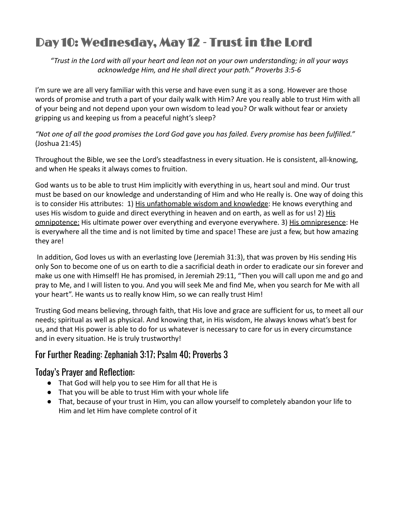# Day 10: Wednesday, May 12 - Trust in the Lord

*"Trust in the Lord with all your heart and lean not on your own understanding; in all your ways acknowledge Him, and He shall direct your path." Proverbs 3:5-6*

I'm sure we are all very familiar with this verse and have even sung it as a song. However are those words of promise and truth a part of your daily walk with Him? Are you really able to trust Him with all of your being and not depend upon your own wisdom to lead you? Or walk without fear or anxiety gripping us and keeping us from a peaceful night's sleep?

*"Not one of all the good promises the Lord God gave you has failed. Every promise has been fulfilled."* (Joshua 21:45)

Throughout the Bible, we see the Lord's steadfastness in every situation. He is consistent, all-knowing, and when He speaks it always comes to fruition.

God wants us to be able to trust Him implicitly with everything in us, heart soul and mind. Our trust must be based on our knowledge and understanding of Him and who He really is. One way of doing this is to consider His attributes: 1) His unfathomable wisdom and knowledge: He knows everything and uses His wisdom to guide and direct everything in heaven and on earth, as well as for us! 2) His omnipotence: His ultimate power over everything and everyone everywhere. 3) His omnipresence: He is everywhere all the time and is not limited by time and space! These are just a few, but how amazing they are!

In addition, God loves us with an everlasting love (Jeremiah 31:3), that was proven by His sending His only Son to become one of us on earth to die a sacrificial death in order to eradicate our sin forever and make us one with Himself! He has promised, in Jeremiah 29:11, "Then you will call upon me and go and pray to Me, and I will listen to you. And you will seek Me and find Me, when you search for Me with all your heart". He wants us to really know Him, so we can really trust Him!

Trusting God means believing, through faith, that His love and grace are sufficient for us, to meet all our needs; spiritual as well as physical. And knowing that, in His wisdom, He always knows what's best for us, and that His power is able to do for us whatever is necessary to care for us in every circumstance and in every situation. He is truly trustworthy!

# For Further Reading: Zephaniah 3:17; Psalm 40; Proverbs 3

# Today's Prayer and Reflection:

- That God will help you to see Him for all that He is
- That you will be able to trust Him with your whole life
- That, because of your trust in Him, you can allow yourself to completely abandon your life to Him and let Him have complete control of it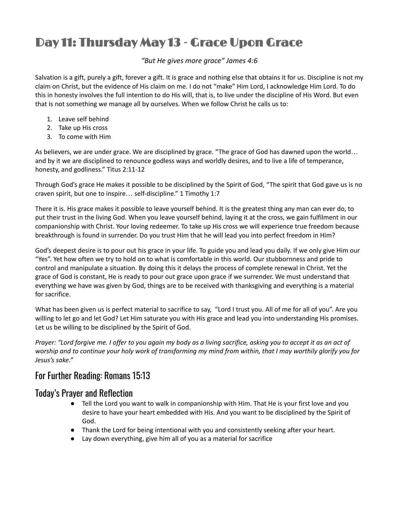# Day 11: Thursday May 13 - Grace Upon Grace

#### *"But He gives more grace" James 4:6*

Salvation is a gift, purely a gift, forever a gift. It is grace and nothing else that obtains it for us. Discipline is not my claim on Christ, but the evidence of His claim on me. I do not "make" Him Lord, I acknowledge Him Lord. To do this in honesty involves the full intention to do His will, that is, to live under the discipline of His Word. But even that is not something we manage all by ourselves. When we follow Christ he calls us to:

- 1. Leave self behind
- 2. Take up His cross
- 3. To come with Him

As believers, we are under grace. We are disciplined by grace. "The grace of God has dawned upon the world… and by it we are disciplined to renounce godless ways and worldly desires, and to live a life of temperance, honesty, and godliness." Titus 2:11-12

Through God's grace He makes it possible to be disciplined by the Spirit of God, "The spirit that God gave us is no craven spirit, but one to inspire… self-discipline." 1 Timothy 1:7

There it is. His grace makes it possible to leave yourself behind. It is the greatest thing any man can ever do, to put their trust in the living God. When you leave yourself behind, laying it at the cross, we gain fulfilment in our companionship with Christ. Your loving redeemer. To take up His cross we will experience true freedom because breakthrough is found in surrender. Do you trust Him that he will lead you into perfect freedom in Him?

God's deepest desire is to pour out his grace in your life. To guide you and lead you daily. If we only give Him our "Yes". Yet how often we try to hold on to what is comfortable in this world. Our stubbornness and pride to control and manipulate a situation. By doing this it delays the process of complete renewal in Christ. Yet the grace of God is constant, He is ready to pour out grace upon grace if we surrender. We must understand that everything we have was given by God, things are to be received with thanksgiving and everything is a material for sacrifice.

What has been given us is perfect material to sacrifice to say, "Lord I trust you. All of me for all of you". Are you willing to let go and let God? Let Him saturate you with His grace and lead you into understanding His promises. Let us be willing to be disciplined by the Spirit of God.

Prayer: "Lord forgive me. I offer to you again my body as a living sacrifice, asking you to accept it as an act of worship and to continue your holy work of transforming my mind from within, that I may worthily glorify you for *Jesus's sake."*

## For Further Reading: Romans 15:13

### Today's Prayer and Reflection

- Tell the Lord you want to walk in companionship with Him. That He is your first love and you desire to have your heart embedded with His. And you want to be disciplined by the Spirit of God.
- Thank the Lord for being intentional with you and consistently seeking after your heart.
- Lay down everything, give him all of you as a material for sacrifice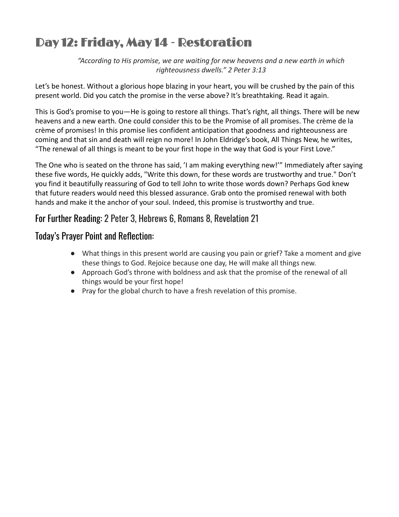# Day 12: Friday, May 14 - Restoration

*"According to His promise, we are waiting for new heavens and a new earth in which righteousness dwells." 2 Peter 3:13*

Let's be honest. Without a glorious hope blazing in your heart, you will be crushed by the pain of this present world. Did you catch the promise in the verse above? It's breathtaking. Read it again.

This is God's promise to you—He is going to restore all things. That's right, all things. There will be new heavens and a new earth. One could consider this to be the Promise of all promises. The crème de la crème of promises! In this promise lies confident anticipation that goodness and righteousness are coming and that sin and death will reign no more! In John Eldridge's book, All Things New, he writes, "The renewal of all things is meant to be your first hope in the way that God is your First Love."

The One who is seated on the throne has said, 'I am making everything new!'" Immediately after saying these five words, He quickly adds, "Write this down, for these words are trustworthy and true." Don't you find it beautifully reassuring of God to tell John to write those words down? Perhaps God knew that future readers would need this blessed assurance. Grab onto the promised renewal with both hands and make it the anchor of your soul. Indeed, this promise is trustworthy and true.

## For Further Reading: 2 Peter 3, Hebrews 6, Romans 8, Revelation 21

## Today's Prayer Point and Reflection:

- What things in this present world are causing you pain or grief? Take a moment and give these things to God. Rejoice because one day, He will make all things new.
- Approach God's throne with boldness and ask that the promise of the renewal of all things would be your first hope!
- Pray for the global church to have a fresh revelation of this promise.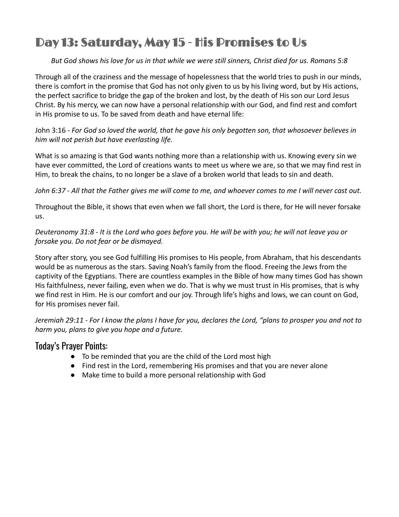# Day 13: Saturday, May 15 - His Promises to Us

### *But God shows his love for us in that while we were still sinners, Christ died for us. Romans 5:8*

Through all of the craziness and the message of hopelessness that the world tries to push in our minds, there is comfort in the promise that God has not only given to us by his living word, but by His actions, the perfect sacrifice to bridge the gap of the broken and lost, by the death of His son our Lord Jesus Christ. By his mercy, we can now have a personal relationship with our God, and find rest and comfort in His promise to us. To be saved from death and have eternal life:

John 3:16 - *For God so loved the world, that he gave his only begotten son, that whosoever believes in him will not perish but have everlasting life.*

What is so amazing is that God wants nothing more than a relationship with us. Knowing every sin we have ever committed, the Lord of creations wants to meet us where we are, so that we may find rest in Him, to break the chains, to no longer be a slave of a broken world that leads to sin and death.

*John 6:37 - All that the Father gives me will come to me, and whoever comes to me I will never cast out.*

Throughout the Bible, it shows that even when we fall short, the Lord is there, for He will never forsake us.

### *Deuteronomy 31:8 - It is the Lord who goes before you. He will be with you; he will not leave you or forsake you. Do not fear or be dismayed.*

Story after story, you see God fulfilling His promises to His people, from Abraham, that his descendants would be as numerous as the stars. Saving Noah's family from the flood. Freeing the Jews from the captivity of the Egyptians. There are countless examples in the Bible of how many times God has shown His faithfulness, never failing, even when we do. That is why we must trust in His promises, that is why we find rest in Him. He is our comfort and our joy. Through life's highs and lows, we can count on God, for His promises never fail.

*Jeremiah 29:11 - For I know the plans I have for you, declares the Lord, "plans to prosper you and not to harm you, plans to give you hope and a future.*

### Today's Prayer Points:

- To be reminded that you are the child of the Lord most high
- Find rest in the Lord, remembering His promises and that you are never alone
- Make time to build a more personal relationship with God